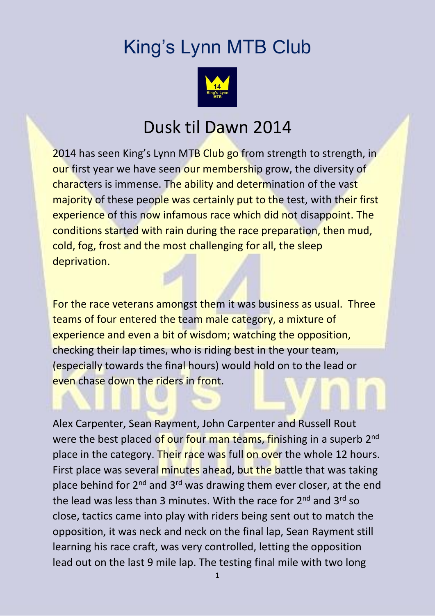## King's Lynn MTB Club



## Dusk til Dawn 2014

2014 has seen King's Lynn MTB Club go from strength to strength, in our first year we have seen our membership grow, the diversity of characters is immense. The ability and determination of the vast majority of these people was certainly put to the test, with their first experience of this now infamous race which did not disappoint. The conditions started with rain during the race preparation, then mud, cold, fog, frost and the most challenging for all, the sleep deprivation.

For the race veterans amongst them it was business as usual. Three teams of four entered the team male category, a mixture of experience and even a bit of wisdom; watching the opposition, checking their lap times, who is riding best in the your team, (especially towards the final hours) would hold on to the lead or even chase down the riders in front.

Alex Carpenter, Sean Rayment, John Carpenter and Russell Rout were the best placed of our four man teams, finishing in a superb 2<sup>nd</sup> place in the category. Their race was full on over the whole 12 hours. First place was several minutes ahead, but the battle that was taking place behind for 2<sup>nd</sup> and 3<sup>rd</sup> was drawing them ever closer, at the end the lead was less than 3 minutes. With the race for 2<sup>nd</sup> and 3<sup>rd</sup> so close, tactics came into play with riders being sent out to match the opposition, it was neck and neck on the final lap, Sean Rayment still learning his race craft, was very controlled, letting the opposition lead out on the last 9 mile lap. The testing final mile with two long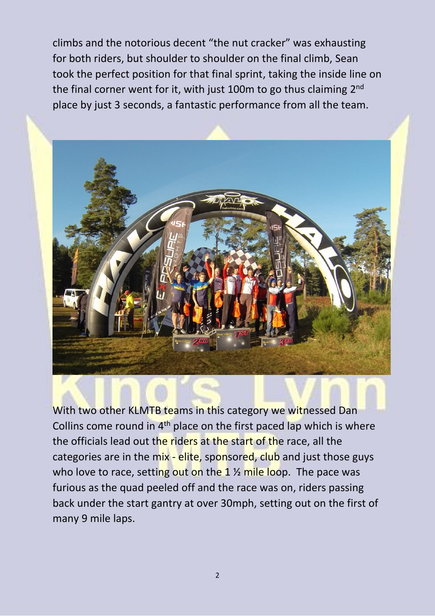climbs and the notorious decent "the nut cracker" was exhausting for both riders, but shoulder to shoulder on the final climb, Sean took the perfect position for that final sprint, taking the inside line on the final corner went for it, with just 100m to go thus claiming 2<sup>nd</sup> place by just 3 seconds, a fantastic performance from all the team.



With two other KLMTB teams in this category we witnessed Dan Collins come round in 4<sup>th</sup> place on the first paced lap which is where the officials lead out the riders at the start of the race, all the categories are in the mix - elite, sponsored, club and just those guys who love to race, setting out on the 1  $\frac{1}{2}$  mile loop. The pace was furious as the quad peeled off and the race was on, riders passing back under the start gantry at over 30mph, setting out on the first of many 9 mile laps.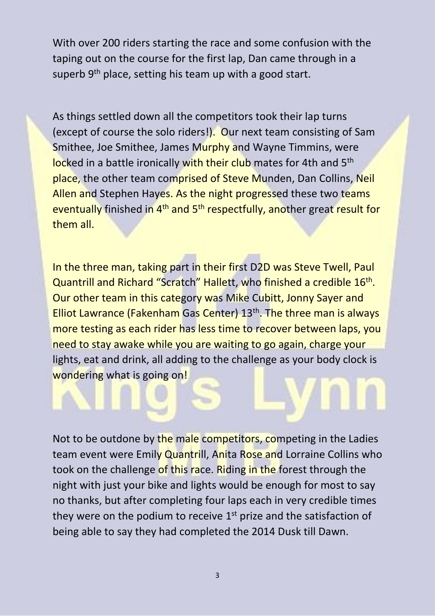With over 200 riders starting the race and some confusion with the taping out on the course for the first lap, Dan came through in a superb 9<sup>th</sup> place, setting his team up with a good start.

As things settled down all the competitors took their lap turns (except of course the solo riders!). Our next team consisting of Sam Smithee, Joe Smithee, James Murphy and Wayne Timmins, were locked in a battle ironically with their club mates for 4th and 5<sup>th</sup> place, the other team comprised of Steve Munden, Dan Collins, Neil Allen and Stephen Hayes. As the night progressed these two teams eventually finished in 4<sup>th</sup> and 5<sup>th</sup> respectfully, another great result for them all.

In the three man, taking part in their first D2D was Steve Twell, Paul Quantrill and Richard "Scratch" Hallett, who finished a credible 16<sup>th</sup>. Our other team in this category was Mike Cubitt, Jonny Sayer and Elliot Lawrance (Fakenham Gas Center) 13<sup>th</sup>. The three man is always more testing as each rider has less time to recover between laps, you need to stay awake while you are waiting to go again, charge your lights, eat and drink, all adding to the challenge as your body clock is wondering what is going on!

Not to be outdone by the male competitors, competing in the Ladies team event were Emily Quantrill, Anita Rose and Lorraine Collins who took on the challenge of this race. Riding in the forest through the night with just your bike and lights would be enough for most to say no thanks, but after completing four laps each in very credible times they were on the podium to receive  $1<sup>st</sup>$  prize and the satisfaction of being able to say they had completed the 2014 Dusk till Dawn.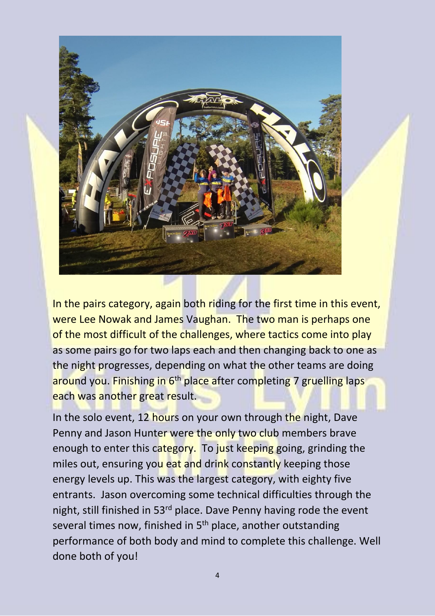

In the pairs category, again both riding for the first time in this event, were Lee Nowak and James Vaughan. The two man is perhaps one of the most difficult of the challenges, where tactics come into play as some pairs go for two laps each and then changing back to one as the night progresses, depending on what the other teams are doing around you. Finishing in 6<sup>th</sup> place after completing 7 gruelling laps each was another great result.

In the solo event, 12 hours on your own through the night, Dave Penny and Jason Hunter were the only two club members brave enough to enter this category. To just keeping going, grinding the miles out, ensuring you eat and drink constantly keeping those energy levels up. This was the largest category, with eighty five entrants. Jason overcoming some technical difficulties through the night, still finished in 53<sup>rd</sup> place. Dave Penny having rode the event several times now, finished in 5<sup>th</sup> place, another outstanding performance of both body and mind to complete this challenge. Well done both of you!